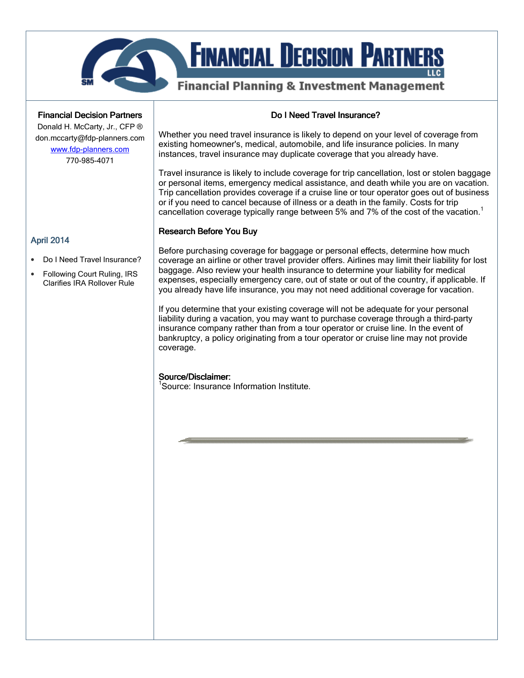

# **FINANCIAL DECISION PARTI**

# **Financial Planning & Investment Management**

**Financial Decision Partners** 

Donald H. McCarty, Jr., CFP ® don.mccarty@fdp-planners.com www.fdp-planners.com

770-985-4071

# Do I Need Travel Insurance?

Whether you need travel insurance is likely to depend on your level of coverage from existing homeowner's, medical, automobile, and life insurance policies. In many instances, travel insurance may duplicate coverage that you already have.

Travel insurance is likely to include coverage for trip cancellation, lost or stolen baggage or personal items, emergency medical assistance, and death while you are on vacation. Trip cancellation provides coverage if a cruise line or tour operator goes out of business or if you need to cancel because of illness or a death in the family. Costs for trip cancellation coverage typically range between 5% and 7% of the cost of the vacation.<sup>1</sup>

## **Research Before You Buy**

Before purchasing coverage for baggage or personal effects, determine how much coverage an airline or other travel provider offers. Airlines may limit their liability for lost baggage. Also review your health insurance to determine your liability for medical expenses, especially emergency care, out of state or out of the country, if applicable. If you already have life insurance, you may not need additional coverage for vacation.

If you determine that your existing coverage will not be adequate for your personal liability during a vacation, you may want to purchase coverage through a third-party insurance company rather than from a tour operator or cruise line. In the event of bankruptcy, a policy originating from a tour operator or cruise line may not provide coverage.

# Source/Disclaimer:

<sup>1</sup>Source: Insurance Information Institute.

### April 2014

- Do I Need Travel Insurance?
- Following Court Ruling, IRS Clarifies IRA Rollover Rule